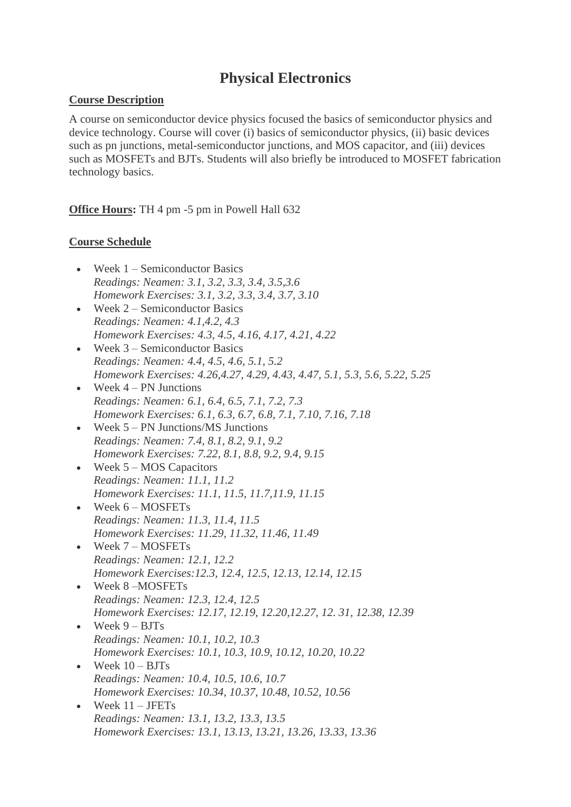# **Physical Electronics**

#### **Course Description**

A course on semiconductor device physics focused the basics of semiconductor physics and device technology. Course will cover (i) basics of semiconductor physics, (ii) basic devices such as pn junctions, metal-semiconductor junctions, and MOS capacitor, and (iii) devices such as MOSFETs and BJTs. Students will also briefly be introduced to MOSFET fabrication technology basics.

**Office Hours:** TH 4 pm -5 pm in Powell Hall 632

## **Course Schedule**

• Week 1 – Semiconductor Basics *Readings: Neamen: 3.1, 3.2, 3.3, 3.4, 3.5,3.6 Homework Exercises: 3.1, 3.2, 3.3, 3.4, 3.7, 3.10* • Week  $2 -$  Semiconductor Basics *Readings: Neamen: 4.1,4.2, 4.3 Homework Exercises: 4.3, 4.5, 4.16, 4.17, 4.21, 4.22* • Week 3 – Semiconductor Basics *Readings: Neamen: 4.4, 4.5, 4.6, 5.1, 5.2 Homework Exercises: 4.26,4.27, 4.29, 4.43, 4.47, 5.1, 5.3, 5.6, 5.22, 5.25* • Week  $4 - PN$  Junctions *Readings: Neamen: 6.1, 6.4, 6.5, 7.1, 7.2, 7.3 Homework Exercises: 6.1, 6.3, 6.7, 6.8, 7.1, 7.10, 7.16, 7.18* • Week  $5 - PN$  Junctions/MS Junctions *Readings: Neamen: 7.4, 8.1, 8.2, 9.1, 9.2 Homework Exercises: 7.22, 8.1, 8.8, 9.2, 9.4, 9.15* • Week 5 – MOS Capacitors *Readings: Neamen: 11.1, 11.2 Homework Exercises: 11.1, 11.5, 11.7,11.9, 11.15* • Week 6 – MOSFETs *Readings: Neamen: 11.3, 11.4, 11.5 Homework Exercises: 11.29, 11.32, 11.46, 11.49* • Week 7 – MOSFETs *Readings: Neamen: 12.1, 12.2 Homework Exercises:12.3, 12.4, 12.5, 12.13, 12.14, 12.15* • Week 8 –MOSFETs *Readings: Neamen: 12.3, 12.4, 12.5 Homework Exercises: 12.17, 12.19, 12.20,12.27, 12. 31, 12.38, 12.39* Week  $9 - BJTs$ *Readings: Neamen: 10.1, 10.2, 10.3 Homework Exercises: 10.1, 10.3, 10.9, 10.12, 10.20, 10.22* • Week  $10 - \text{BITs}$ *Readings: Neamen: 10.4, 10.5, 10.6, 10.7 Homework Exercises: 10.34, 10.37, 10.48, 10.52, 10.56*  $\bullet$  Week  $11 - JFETs$ *Readings: Neamen: 13.1, 13.2, 13.3, 13.5 Homework Exercises: 13.1, 13.13, 13.21, 13.26, 13.33, 13.36*